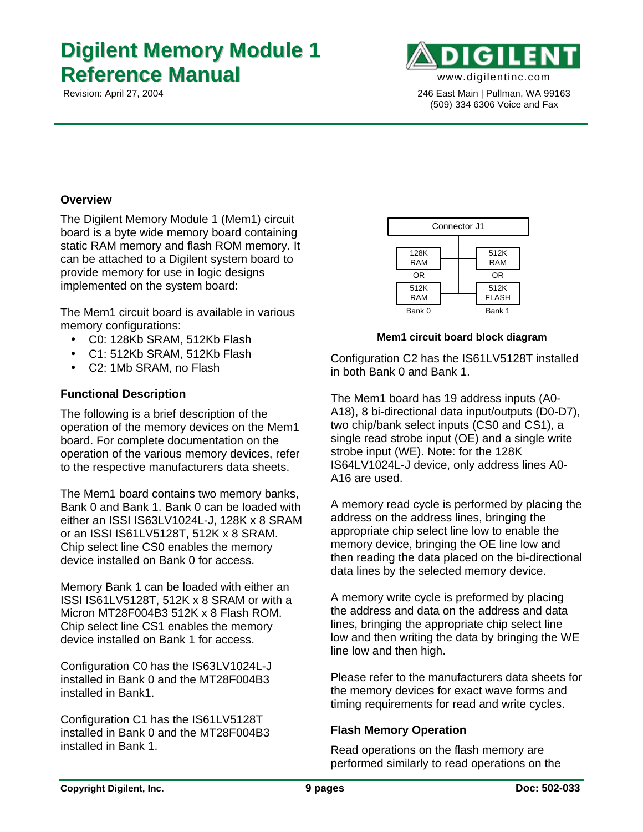# **Digilent Memory Module 1 Reference Manual** www.digilentinc.com



 Revision: April 27, 2004 246 East Main | Pullman, WA 99163 (509) 334 6306 Voice and Fax

#### **Overview**

The Digilent Memory Module 1 (Mem1) circuit board is a byte wide memory board containing static RAM memory and flash ROM memory. It can be attached to a Digilent system board to provide memory for use in logic designs implemented on the system board:

The Mem1 circuit board is available in various memory configurations:

- C0: 128Kb SRAM, 512Kb Flash
- C1: 512Kb SRAM, 512Kb Flash
- C2: 1Mb SRAM, no Flash

## **Functional Description**

The following is a brief description of the operation of the memory devices on the Mem1 board. For complete documentation on the operation of the various memory devices, refer to the respective manufacturers data sheets.

The Mem1 board contains two memory banks, Bank 0 and Bank 1. Bank 0 can be loaded with either an ISSI IS63LV1024L-J, 128K x 8 SRAM or an ISSI IS61LV5128T, 512K x 8 SRAM. Chip select line CS0 enables the memory device installed on Bank 0 for access.

Memory Bank 1 can be loaded with either an ISSI IS61LV5128T, 512K x 8 SRAM or with a Micron MT28F004B3 512K x 8 Flash ROM. Chip select line CS1 enables the memory device installed on Bank 1 for access.

Configuration C0 has the IS63LV1024L-J installed in Bank 0 and the MT28F004B3 installed in Bank1.

Configuration C1 has the IS61LV5128T installed in Bank 0 and the MT28F004B3 installed in Bank 1.



#### **Mem1 circuit board block diagram**

Configuration C2 has the IS61LV5128T installed in both Bank 0 and Bank 1.

The Mem1 board has 19 address inputs (A0- A18), 8 bi-directional data input/outputs (D0-D7), two chip/bank select inputs (CS0 and CS1), a single read strobe input (OE) and a single write strobe input (WE). Note: for the 128K IS64LV1024L-J device, only address lines A0- A16 are used.

A memory read cycle is performed by placing the address on the address lines, bringing the appropriate chip select line low to enable the memory device, bringing the OE line low and then reading the data placed on the bi-directional data lines by the selected memory device.

A memory write cycle is preformed by placing the address and data on the address and data lines, bringing the appropriate chip select line low and then writing the data by bringing the WE line low and then high.

Please refer to the manufacturers data sheets for the memory devices for exact wave forms and timing requirements for read and write cycles.

#### **Flash Memory Operation**

Read operations on the flash memory are performed similarly to read operations on the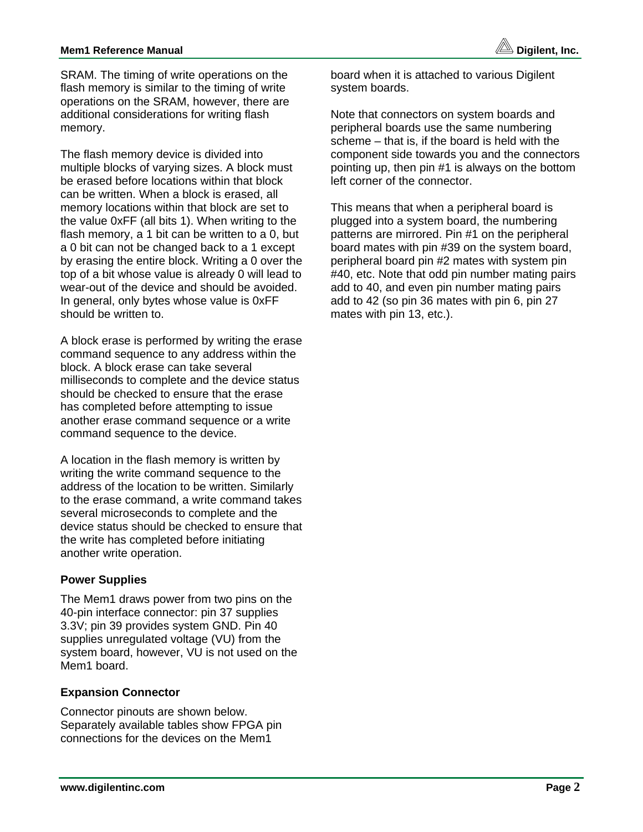# **Mem1 Reference Manual discussed by the control of the control of the Digilent, Inc.**

SRAM. The timing of write operations on the flash memory is similar to the timing of write operations on the SRAM, however, there are additional considerations for writing flash memory.

The flash memory device is divided into multiple blocks of varying sizes. A block must be erased before locations within that block can be written. When a block is erased, all memory locations within that block are set to the value 0xFF (all bits 1). When writing to the flash memory, a 1 bit can be written to a 0, but a 0 bit can not be changed back to a 1 except by erasing the entire block. Writing a 0 over the top of a bit whose value is already 0 will lead to wear-out of the device and should be avoided. In general, only bytes whose value is 0xFF should be written to.

A block erase is performed by writing the erase command sequence to any address within the block. A block erase can take several milliseconds to complete and the device status should be checked to ensure that the erase has completed before attempting to issue another erase command sequence or a write command sequence to the device.

A location in the flash memory is written by writing the write command sequence to the address of the location to be written. Similarly to the erase command, a write command takes several microseconds to complete and the device status should be checked to ensure that the write has completed before initiating another write operation.

## **Power Supplies**

The Mem1 draws power from two pins on the 40-pin interface connector: pin 37 supplies 3.3V; pin 39 provides system GND. Pin 40 supplies unregulated voltage (VU) from the system board, however, VU is not used on the Mem1 board.

#### **Expansion Connector**

Connector pinouts are shown below. Separately available tables show FPGA pin connections for the devices on the Mem1

board when it is attached to various Digilent system boards.

Note that connectors on system boards and peripheral boards use the same numbering scheme – that is, if the board is held with the component side towards you and the connectors pointing up, then pin #1 is always on the bottom left corner of the connector.

This means that when a peripheral board is plugged into a system board, the numbering patterns are mirrored. Pin #1 on the peripheral board mates with pin #39 on the system board, peripheral board pin #2 mates with system pin #40, etc. Note that odd pin number mating pairs add to 40, and even pin number mating pairs add to 42 (so pin 36 mates with pin 6, pin 27 mates with pin 13, etc.).